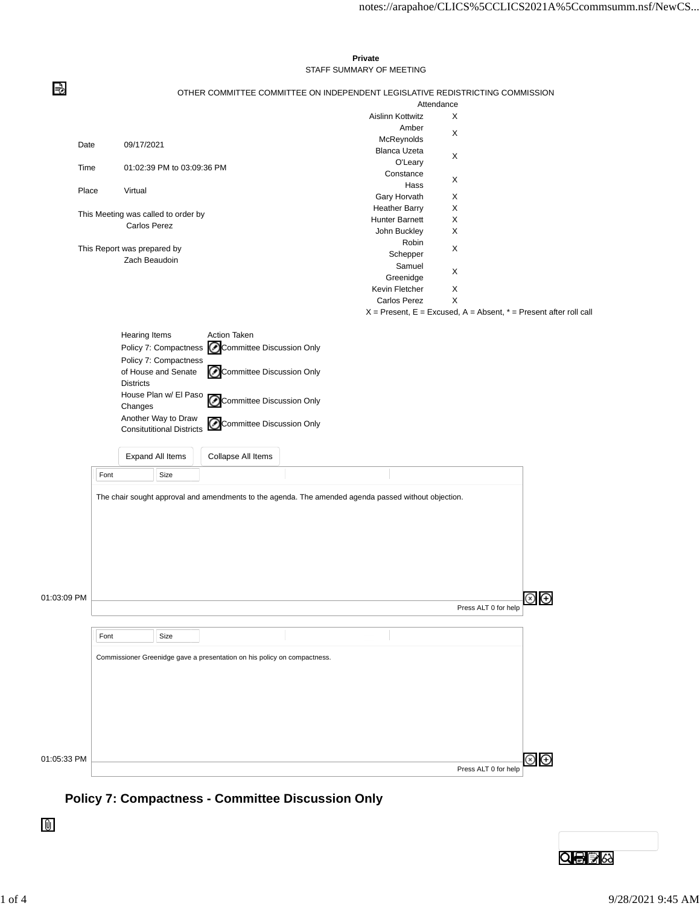## **Private** STAFF SUMMARY OF MEETING

€

| OTHER COMMITTEE COMMITTEE ON INDEPENDENT LEGISLATIVE REDISTRICTING COMMISSION |  |  |  |
|-------------------------------------------------------------------------------|--|--|--|
|                                                                               |  |  |  |

|             |      |                             |                                     |                                                                          |                                                                                                      | Attendance |                      |                                                                       |
|-------------|------|-----------------------------|-------------------------------------|--------------------------------------------------------------------------|------------------------------------------------------------------------------------------------------|------------|----------------------|-----------------------------------------------------------------------|
|             |      |                             |                                     |                                                                          | Aislinn Kottwitz                                                                                     | X          |                      |                                                                       |
|             |      |                             |                                     |                                                                          | Amber                                                                                                | X          |                      |                                                                       |
|             |      |                             |                                     |                                                                          | McReynolds                                                                                           |            |                      |                                                                       |
| Date        |      | 09/17/2021                  |                                     |                                                                          | Blanca Uzeta                                                                                         |            |                      |                                                                       |
|             |      |                             |                                     |                                                                          | O'Leary                                                                                              | X          |                      |                                                                       |
| Time        |      |                             | 01:02:39 PM to 03:09:36 PM          |                                                                          | Constance                                                                                            |            |                      |                                                                       |
|             |      |                             |                                     |                                                                          | Hass                                                                                                 | X          |                      |                                                                       |
| Place       |      | Virtual                     |                                     |                                                                          | Gary Horvath                                                                                         | X          |                      |                                                                       |
|             |      |                             |                                     |                                                                          | <b>Heather Barry</b>                                                                                 | X          |                      |                                                                       |
|             |      |                             | This Meeting was called to order by |                                                                          | Hunter Barnett                                                                                       |            |                      |                                                                       |
|             |      | Carlos Perez                |                                     |                                                                          |                                                                                                      | X          |                      |                                                                       |
|             |      |                             |                                     |                                                                          | John Buckley                                                                                         | X          |                      |                                                                       |
|             |      | This Report was prepared by |                                     |                                                                          | Robin                                                                                                | X          |                      |                                                                       |
|             |      | Zach Beaudoin               |                                     |                                                                          | Schepper                                                                                             |            |                      |                                                                       |
|             |      |                             |                                     |                                                                          | Samuel                                                                                               | X          |                      |                                                                       |
|             |      |                             |                                     |                                                                          | Greenidge                                                                                            |            |                      |                                                                       |
|             |      |                             |                                     |                                                                          | Kevin Fletcher                                                                                       | Х          |                      |                                                                       |
|             |      |                             |                                     |                                                                          | Carlos Perez                                                                                         | Χ          |                      |                                                                       |
|             |      |                             |                                     |                                                                          |                                                                                                      |            |                      | $X =$ Present, E = Excused, A = Absent, $* =$ Present after roll call |
|             |      |                             |                                     |                                                                          |                                                                                                      |            |                      |                                                                       |
|             |      | <b>Hearing Items</b>        |                                     | <b>Action Taken</b>                                                      |                                                                                                      |            |                      |                                                                       |
|             |      |                             |                                     | Committee Discussion Only                                                |                                                                                                      |            |                      |                                                                       |
|             |      |                             | Policy 7: Compactness               |                                                                          |                                                                                                      |            |                      |                                                                       |
|             |      |                             | Policy 7: Compactness               |                                                                          |                                                                                                      |            |                      |                                                                       |
|             |      |                             | of House and Senate                 | ⊙<br>Committee Discussion Only                                           |                                                                                                      |            |                      |                                                                       |
|             |      | <b>Districts</b>            |                                     |                                                                          |                                                                                                      |            |                      |                                                                       |
|             |      |                             | House Plan w/ El Paso               | ⓒ<br><b>Committee Discussion Only</b>                                    |                                                                                                      |            |                      |                                                                       |
|             |      | Changes                     |                                     |                                                                          |                                                                                                      |            |                      |                                                                       |
|             |      |                             | Another Way to Draw                 |                                                                          |                                                                                                      |            |                      |                                                                       |
|             |      |                             | <b>Consitutitional Districts</b>    | Committee Discussion Only<br>O                                           |                                                                                                      |            |                      |                                                                       |
|             |      |                             |                                     |                                                                          |                                                                                                      |            |                      |                                                                       |
|             |      |                             |                                     |                                                                          |                                                                                                      |            |                      |                                                                       |
|             |      |                             | Expand All Items                    | Collapse All Items                                                       |                                                                                                      |            |                      |                                                                       |
|             | Font |                             | Size                                |                                                                          |                                                                                                      |            |                      |                                                                       |
|             |      |                             |                                     |                                                                          |                                                                                                      |            |                      |                                                                       |
|             |      |                             |                                     |                                                                          | The chair sought approval and amendments to the agenda. The amended agenda passed without objection. |            |                      |                                                                       |
|             |      |                             |                                     |                                                                          |                                                                                                      |            |                      |                                                                       |
|             |      |                             |                                     |                                                                          |                                                                                                      |            |                      |                                                                       |
|             |      |                             |                                     |                                                                          |                                                                                                      |            |                      |                                                                       |
|             |      |                             |                                     |                                                                          |                                                                                                      |            |                      |                                                                       |
|             |      |                             |                                     |                                                                          |                                                                                                      |            |                      |                                                                       |
|             |      |                             |                                     |                                                                          |                                                                                                      |            |                      |                                                                       |
|             |      |                             |                                     |                                                                          |                                                                                                      |            |                      |                                                                       |
|             |      |                             |                                     |                                                                          |                                                                                                      |            |                      |                                                                       |
|             |      |                             |                                     |                                                                          |                                                                                                      |            |                      |                                                                       |
| 01:03:09 PM |      |                             |                                     |                                                                          |                                                                                                      |            |                      | ⊕                                                                     |
|             |      |                             |                                     |                                                                          |                                                                                                      |            | Press ALT 0 for help |                                                                       |
|             |      |                             |                                     |                                                                          |                                                                                                      |            |                      |                                                                       |
|             | Font |                             | Size                                |                                                                          |                                                                                                      |            |                      |                                                                       |
|             |      |                             |                                     |                                                                          |                                                                                                      |            |                      |                                                                       |
|             |      |                             |                                     | Commissioner Greenidge gave a presentation on his policy on compactness. |                                                                                                      |            |                      |                                                                       |
|             |      |                             |                                     |                                                                          |                                                                                                      |            |                      |                                                                       |
|             |      |                             |                                     |                                                                          |                                                                                                      |            |                      |                                                                       |
|             |      |                             |                                     |                                                                          |                                                                                                      |            |                      |                                                                       |
|             |      |                             |                                     |                                                                          |                                                                                                      |            |                      |                                                                       |
|             |      |                             |                                     |                                                                          |                                                                                                      |            |                      |                                                                       |
|             |      |                             |                                     |                                                                          |                                                                                                      |            |                      |                                                                       |
|             |      |                             |                                     |                                                                          |                                                                                                      |            |                      |                                                                       |
|             |      |                             |                                     |                                                                          |                                                                                                      |            |                      |                                                                       |
|             |      |                             |                                     |                                                                          |                                                                                                      |            |                      |                                                                       |
| 01:05:33 PM |      |                             |                                     |                                                                          |                                                                                                      |            |                      | Æ                                                                     |
|             |      |                             |                                     |                                                                          |                                                                                                      |            | Press ALT 0 for help |                                                                       |
|             |      |                             |                                     |                                                                          |                                                                                                      |            |                      |                                                                       |

## **Policy 7: Compactness - Committee Discussion Only**

 $\mathbf 0$ 

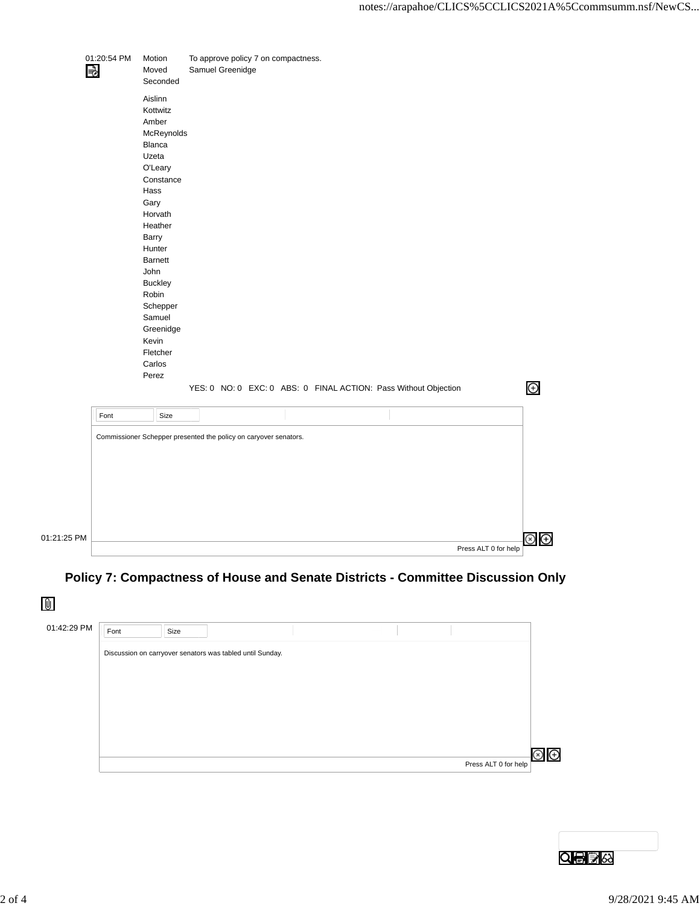|      | Aislinn<br>Kottwitz                                                                                                                                                                                                                       |                                                                 |  |  |  |  |             |
|------|-------------------------------------------------------------------------------------------------------------------------------------------------------------------------------------------------------------------------------------------|-----------------------------------------------------------------|--|--|--|--|-------------|
|      | Amber<br>McReynolds<br>Blanca<br>Uzeta<br>O'Leary<br>Constance<br>Hass<br>Gary<br>Horvath<br>Heather<br>Barry<br>Hunter<br>Barnett<br>John<br>Buckley<br>Robin<br>Schepper<br>Samuel<br>Greenidge<br>Kevin<br>Fletcher<br>Carlos<br>Perez |                                                                 |  |  |  |  |             |
| Font | Size                                                                                                                                                                                                                                      | YES: 0 NO: 0 EXC: 0 ABS: 0 FINAL ACTION: Pass Without Objection |  |  |  |  | $\bigoplus$ |
|      | Commissioner Schepper presented the policy on caryover senators.                                                                                                                                                                          |                                                                 |  |  |  |  |             |
|      |                                                                                                                                                                                                                                           |                                                                 |  |  |  |  |             |

## **Policy 7: Compactness of House and Senate Districts - Committee Discussion Only**

 $\mathbf 0$ 

01

| 01:42:29 PM | Font | Size |                                                           |  |                      |   |
|-------------|------|------|-----------------------------------------------------------|--|----------------------|---|
|             |      |      | Discussion on carryover senators was tabled until Sunday. |  |                      |   |
|             |      |      |                                                           |  |                      |   |
|             |      |      |                                                           |  |                      |   |
|             |      |      |                                                           |  |                      |   |
|             |      |      |                                                           |  |                      |   |
|             |      |      |                                                           |  |                      |   |
|             |      |      |                                                           |  | Press ALT 0 for help | Θ |

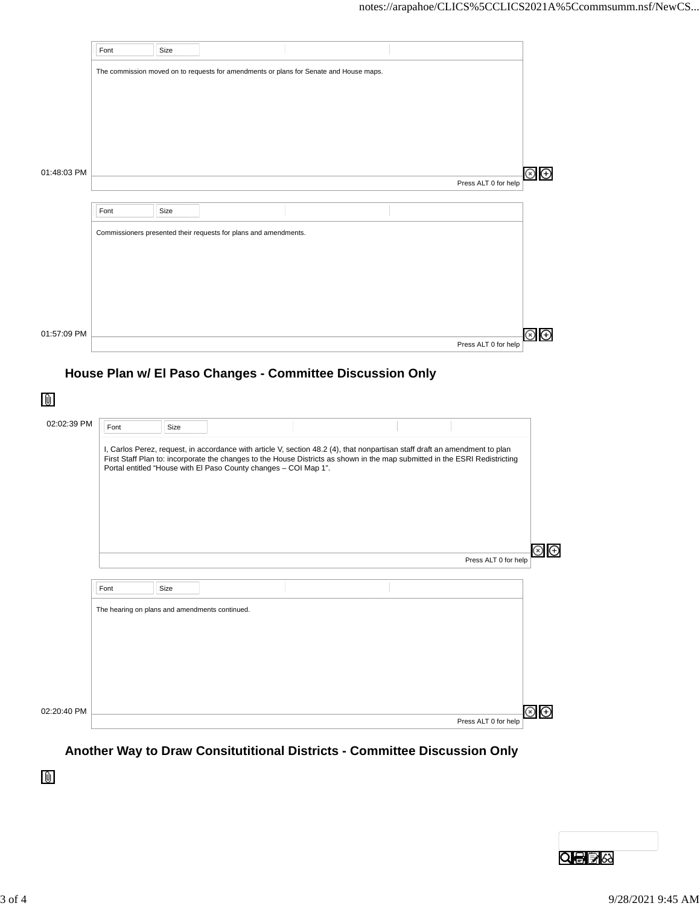|             | Font | Size |                                                                  |                                                                                        |                      |                               |
|-------------|------|------|------------------------------------------------------------------|----------------------------------------------------------------------------------------|----------------------|-------------------------------|
|             |      |      |                                                                  | The commission moved on to requests for amendments or plans for Senate and House maps. |                      |                               |
|             |      |      |                                                                  |                                                                                        |                      |                               |
|             |      |      |                                                                  |                                                                                        |                      |                               |
|             |      |      |                                                                  |                                                                                        |                      |                               |
|             |      |      |                                                                  |                                                                                        |                      |                               |
|             |      |      |                                                                  |                                                                                        |                      |                               |
|             |      |      |                                                                  |                                                                                        |                      |                               |
| 01:48:03 PM |      |      |                                                                  |                                                                                        | Press ALT 0 for help | $\circledcirc$ $\circledcirc$ |
|             |      |      |                                                                  |                                                                                        |                      |                               |
|             | Font | Size |                                                                  |                                                                                        |                      |                               |
|             |      |      | Commissioners presented their requests for plans and amendments. |                                                                                        |                      |                               |
|             |      |      |                                                                  |                                                                                        |                      |                               |
|             |      |      |                                                                  |                                                                                        |                      |                               |
|             |      |      |                                                                  |                                                                                        |                      |                               |
|             |      |      |                                                                  |                                                                                        |                      |                               |
|             |      |      |                                                                  |                                                                                        |                      |                               |
|             |      |      |                                                                  |                                                                                        |                      |                               |
|             |      |      |                                                                  |                                                                                        |                      |                               |
| 01:57:09 PM |      |      |                                                                  |                                                                                        | Press ALT 0 for help | $\bigoplus$<br>$\rm \odot$    |

| 02:02:39 PM | Font                                           | Size |                                                                  |                                                                                                                                                                                                                                                            |                      |                            |
|-------------|------------------------------------------------|------|------------------------------------------------------------------|------------------------------------------------------------------------------------------------------------------------------------------------------------------------------------------------------------------------------------------------------------|----------------------|----------------------------|
|             |                                                |      | Portal entitled "House with El Paso County changes - COI Map 1". | I, Carlos Perez, request, in accordance with article V, section 48.2 (4), that nonpartisan staff draft an amendment to plan<br>First Staff Plan to: incorporate the changes to the House Districts as shown in the map submitted in the ESRI Redistricting |                      |                            |
|             |                                                |      |                                                                  |                                                                                                                                                                                                                                                            | Press ALT 0 for help | $\left( \mathrm{+}\right)$ |
|             |                                                |      |                                                                  |                                                                                                                                                                                                                                                            |                      |                            |
|             | Font                                           | Size |                                                                  |                                                                                                                                                                                                                                                            |                      |                            |
|             | The hearing on plans and amendments continued. |      |                                                                  |                                                                                                                                                                                                                                                            |                      |                            |
|             |                                                |      |                                                                  |                                                                                                                                                                                                                                                            |                      |                            |
|             |                                                |      |                                                                  |                                                                                                                                                                                                                                                            |                      |                            |
|             |                                                |      |                                                                  |                                                                                                                                                                                                                                                            |                      |                            |
|             |                                                |      |                                                                  |                                                                                                                                                                                                                                                            |                      |                            |
| 02:20:40 PM |                                                |      |                                                                  |                                                                                                                                                                                                                                                            |                      |                            |
|             |                                                |      |                                                                  |                                                                                                                                                                                                                                                            | Press ALT 0 for help |                            |

**Another Way to Draw Consitutitional Districts - Committee Discussion Only**



 $\mathbb 0$